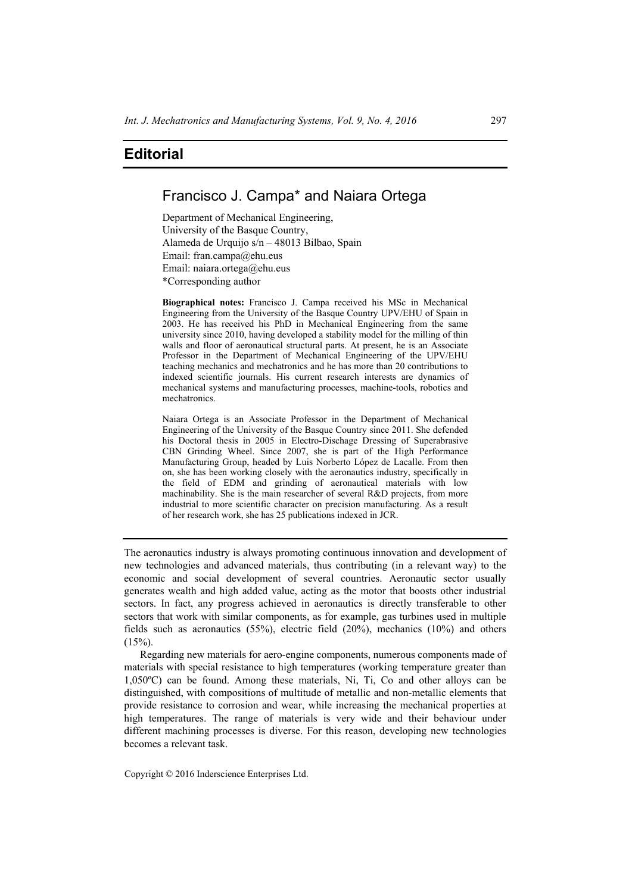## **Editorial**

## Francisco J. Campa\* and Naiara Ortega

Department of Mechanical Engineering, University of the Basque Country, Alameda de Urquijo s/n – 48013 Bilbao, Spain Email: fran.campa@ehu.eus Email: naiara.ortega@ehu.eus \*Corresponding author

**Biographical notes:** Francisco J. Campa received his MSc in Mechanical Engineering from the University of the Basque Country UPV/EHU of Spain in 2003. He has received his PhD in Mechanical Engineering from the same university since 2010, having developed a stability model for the milling of thin walls and floor of aeronautical structural parts. At present, he is an Associate Professor in the Department of Mechanical Engineering of the UPV/EHU teaching mechanics and mechatronics and he has more than 20 contributions to indexed scientific journals. His current research interests are dynamics of mechanical systems and manufacturing processes, machine-tools, robotics and mechatronics.

Naiara Ortega is an Associate Professor in the Department of Mechanical Engineering of the University of the Basque Country since 2011. She defended his Doctoral thesis in 2005 in Electro-Dischage Dressing of Superabrasive CBN Grinding Wheel. Since 2007, she is part of the High Performance Manufacturing Group, headed by Luis Norberto López de Lacalle. From then on, she has been working closely with the aeronautics industry, specifically in the field of EDM and grinding of aeronautical materials with low machinability. She is the main researcher of several R&D projects, from more industrial to more scientific character on precision manufacturing. As a result of her research work, she has 25 publications indexed in JCR.

The aeronautics industry is always promoting continuous innovation and development of new technologies and advanced materials, thus contributing (in a relevant way) to the economic and social development of several countries. Aeronautic sector usually generates wealth and high added value, acting as the motor that boosts other industrial sectors. In fact, any progress achieved in aeronautics is directly transferable to other sectors that work with similar components, as for example, gas turbines used in multiple fields such as aeronautics (55%), electric field (20%), mechanics (10%) and others  $(15%)$ .

Regarding new materials for aero-engine components, numerous components made of materials with special resistance to high temperatures (working temperature greater than 1,050ºC) can be found. Among these materials, Ni, Ti, Co and other alloys can be distinguished, with compositions of multitude of metallic and non-metallic elements that provide resistance to corrosion and wear, while increasing the mechanical properties at high temperatures. The range of materials is very wide and their behaviour under different machining processes is diverse. For this reason, developing new technologies becomes a relevant task.

Copyright © 2016 Inderscience Enterprises Ltd.